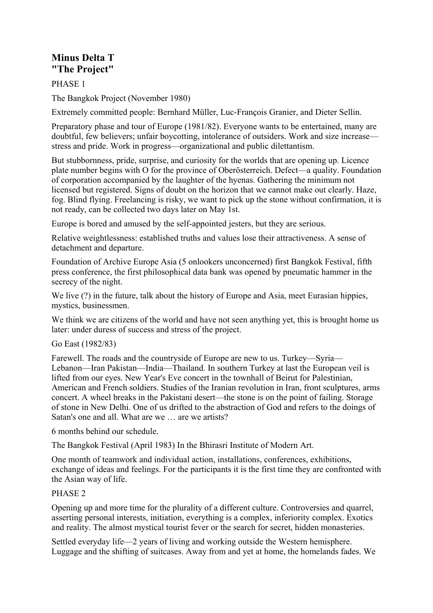# **Minus Delta T "The Project"**

PHASE 1

The Bangkok Project (November 1980)

Extremely committed people: Bernhard Müller, Luc-François Granier, and Dieter Sellin.

Preparatory phase and tour of Europe (1981/82). Everyone wants to be entertained, many are doubtful, few believers; unfair boycotting, intolerance of outsiders. Work and size increase stress and pride. Work in progress—organizational and public dilettantism.

But stubbornness, pride, surprise, and curiosity for the worlds that are opening up. Licence plate number begins with O for the province of Oberösterreich. Defect—a quality. Foundation of corporation accompanied by the laughter of the hyenas. Gathering the minimum not licensed but registered. Signs of doubt on the horizon that we cannot make out clearly. Haze, fog. Blind flying. Freelancing is risky, we want to pick up the stone without confirmation, it is not ready, can be collected two days later on May 1st.

Europe is bored and amused by the self-appointed jesters, but they are serious.

Relative weightlessness: established truths and values lose their attractiveness. A sense of detachment and departure.

Foundation of Archive Europe Asia (5 onlookers unconcerned) first Bangkok Festival, fifth press conference, the first philosophical data bank was opened by pneumatic hammer in the secrecy of the night.

We live  $(?)$  in the future, talk about the history of Europe and Asia, meet Eurasian hippies, mystics, businessmen.

We think we are citizens of the world and have not seen anything yet, this is brought home us later: under duress of success and stress of the project.

Go East (1982/83)

Farewell. The roads and the countryside of Europe are new to us. Turkey—Syria— Lebanon—Iran Pakistan—India—Thailand. In southern Turkey at last the European veil is lifted from our eyes. New Year's Eve concert in the townhall of Beirut for Palestinian, American and French soldiers. Studies of the Iranian revolution in Iran, front sculptures, arms concert. A wheel breaks in the Pakistani desert—the stone is on the point of failing. Storage of stone in New Delhi. One of us drifted to the abstraction of God and refers to the doings of Satan's one and all. What are we … are we artists?

6 months behind our schedule.

The Bangkok Festival (April 1983) In the Bhirasri Institute of Modern Art.

One month of teamwork and individual action, installations, conferences, exhibitions, exchange of ideas and feelings. For the participants it is the first time they are confronted with the Asian way of life.

### PHASE 2

Opening up and more time for the plurality of a different culture. Controversies and quarrel, asserting personal interests, initiation, everything is a complex, inferiority complex. Exotics and reality. The almost mystical tourist fever or the search for secret, hidden monasteries.

Settled everyday life—2 years of living and working outside the Western hemisphere. Luggage and the shifting of suitcases. Away from and yet at home, the homelands fades. We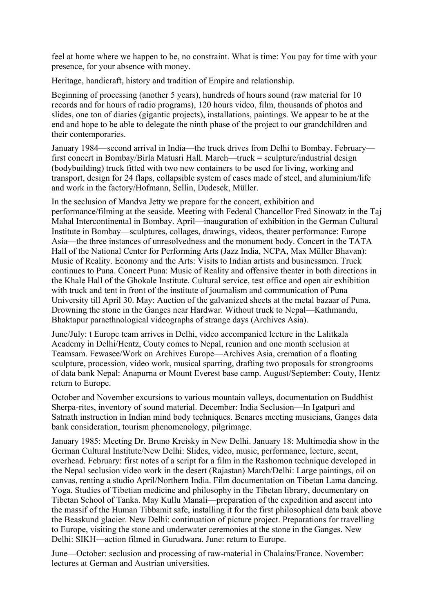feel at home where we happen to be, no constraint. What is time: You pay for time with your presence, for your absence with money.

Heritage, handicraft, history and tradition of Empire and relationship.

Beginning of processing (another 5 years), hundreds of hours sound (raw material for 10 records and for hours of radio programs), 120 hours video, film, thousands of photos and slides, one ton of diaries (gigantic projects), installations, paintings. We appear to be at the end and hope to be able to delegate the ninth phase of the project to our grandchildren and their contemporaries.

January 1984—second arrival in India—the truck drives from Delhi to Bombay. February first concert in Bombay/Birla Matusri Hall. March—truck = sculpture/industrial design (bodybuilding) truck fitted with two new containers to be used for living, working and transport, design for 24 flaps, collapsible system of cases made of steel, and aluminium/life and work in the factory/Hofmann, Sellin, Dudesek, Müller.

In the seclusion of Mandva Jetty we prepare for the concert, exhibition and performance/filming at the seaside. Meeting with Federal Chancellor Fred Sinowatz in the Taj Mahal Intercontinental in Bombay. April—inauguration of exhibition in the German Cultural Institute in Bombay—sculptures, collages, drawings, videos, theater performance: Europe Asia—the three instances of unresolvedness and the monument body. Concert in the TATA Hall of the National Center for Performing Arts (Jazz India, NCPA, Max Müller Bhavan): Music of Reality. Economy and the Arts: Visits to Indian artists and businessmen. Truck continues to Puna. Concert Puna: Music of Reality and offensive theater in both directions in the Khale Hall of the Ghokale Institute. Cultural service, test office and open air exhibition with truck and tent in front of the institute of journalism and communication of Puna University till April 30. May: Auction of the galvanized sheets at the metal bazaar of Puna. Drowning the stone in the Ganges near Hardwar. Without truck to Nepal—Kathmandu, Bhaktapur paraethnological videographs of strange days (Archives Asia).

June/July: t Europe team arrives in Delhi, video accompanied lecture in the Lalitkala Academy in Delhi/Hentz, Couty comes to Nepal, reunion and one month seclusion at Teamsam. Fewasee/Work on Archives Europe—Archives Asia, cremation of a floating sculpture, procession, video work, musical sparring, drafting two proposals for strongrooms of data bank Nepal: Anapurna or Mount Everest base camp. August/September: Couty, Hentz return to Europe.

October and November excursions to various mountain valleys, documentation on Buddhist Sherpa-rites, inventory of sound material. December: India Seclusion—In Igatpuri and Satnath instruction in Indian mind body techniques. Benares meeting musicians, Ganges data bank consideration, tourism phenomenology, pilgrimage.

January 1985: Meeting Dr. Bruno Kreisky in New Delhi. January 18: Multimedia show in the German Cultural Institute/New Delhi: Slides, video, music, performance, lecture, scent, overhead. February: first notes of a script for a film in the Rashomon technique developed in the Nepal seclusion video work in the desert (Rajastan) March/Delhi: Large paintings, oil on canvas, renting a studio April/Northern India. Film documentation on Tibetan Lama dancing. Yoga. Studies of Tibetian medicine and philosophy in the Tibetan library, documentary on Tibetan School of Tanka. May Kullu Manali—preparation of the expedition and ascent into the massif of the Human Tibbamit safe, installing it for the first philosophical data bank above the Beaskund glacier. New Delhi: continuation of picture project. Preparations for travelling to Europe, visiting the stone and underwater ceremonies at the stone in the Ganges. New Delhi: SIKH—action filmed in Gurudwara. June: return to Europe.

June—October: seclusion and processing of raw-material in Chalains/France. November: lectures at German and Austrian universities.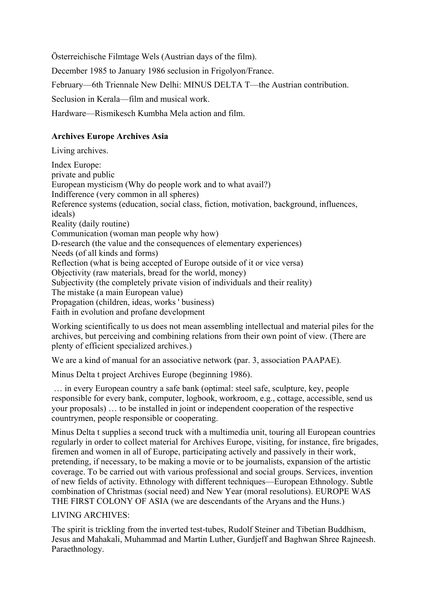Österreichische Filmtage Wels (Austrian days of the film).

December 1985 to January 1986 seclusion in Frigolyon/France.

February—6th Triennale New Delhi: MINUS DELTA T—the Austrian contribution.

Seclusion in Kerala—film and musical work.

Hardware—Rismikesch Kumbha Mela action and film.

## **Archives Europe Archives Asia**

Living archives. Index Europe: private and public European mysticism (Why do people work and to what avail?) Indifference (very common in all spheres) Reference systems (education, social class, fiction, motivation, background, influences, ideals) Reality (daily routine) Communication (woman man people why how) D-research (the value and the consequences of elementary experiences) Needs (of all kinds and forms) Reflection (what is being accepted of Europe outside of it or vice versa) Objectivity (raw materials, bread for the world, money) Subjectivity (the completely private vision of individuals and their reality) The mistake (a main European value) Propagation (children, ideas, works ' business) Faith in evolution and profane development

Working scientifically to us does not mean assembling intellectual and material piles for the archives, but perceiving and combining relations from their own point of view. (There are plenty of efficient specialized archives.)

We are a kind of manual for an associative network (par. 3, association PAAPAE).

Minus Delta t project Archives Europe (beginning 1986).

 … in every European country a safe bank (optimal: steel safe, sculpture, key, people responsible for every bank, computer, logbook, workroom, e.g., cottage, accessible, send us your proposals) … to be installed in joint or independent cooperation of the respective countrymen, people responsible or cooperating.

Minus Delta t supplies a second truck with a multimedia unit, touring all European countries regularly in order to collect material for Archives Europe, visiting, for instance, fire brigades, firemen and women in all of Europe, participating actively and passively in their work, pretending, if necessary, to be making a movie or to be journalists, expansion of the artistic coverage. To be carried out with various professional and social groups. Services, invention of new fields of activity. Ethnology with different techniques—European Ethnology. Subtle combination of Christmas (social need) and New Year (moral resolutions). EUROPE WAS THE FIRST COLONY OF ASIA (we are descendants of the Aryans and the Huns.)

### LIVING ARCHIVES:

The spirit is trickling from the inverted test-tubes, Rudolf Steiner and Tibetian Buddhism, Jesus and Mahakali, Muhammad and Martin Luther, Gurdjeff and Baghwan Shree Rajneesh. Paraethnology.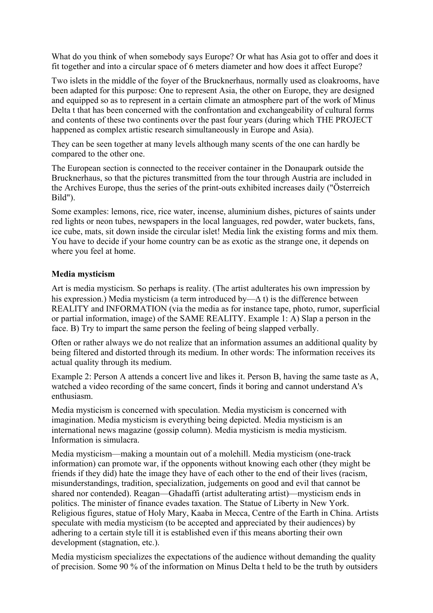What do you think of when somebody says Europe? Or what has Asia got to offer and does it fit together and into a circular space of 6 meters diameter and how does it affect Europe?

Two islets in the middle of the foyer of the Brucknerhaus, normally used as cloakrooms, have been adapted for this purpose: One to represent Asia, the other on Europe, they are designed and equipped so as to represent in a certain climate an atmosphere part of the work of Minus Delta t that has been concerned with the confrontation and exchangeability of cultural forms and contents of these two continents over the past four years (during which THE PROJECT happened as complex artistic research simultaneously in Europe and Asia).

They can be seen together at many levels although many scents of the one can hardly be compared to the other one.

The European section is connected to the receiver container in the Donaupark outside the Brucknerhaus, so that the pictures transmitted from the tour through Austria are included in the Archives Europe, thus the series of the print-outs exhibited increases daily ("Österreich Bild").

Some examples: lemons, rice, rice water, incense, aluminium dishes, pictures of saints under red lights or neon tubes, newspapers in the local languages, red powder, water buckets, fans, ice cube, mats, sit down inside the circular islet! Media link the existing forms and mix them. You have to decide if your home country can be as exotic as the strange one, it depends on where you feel at home.

#### **Media mysticism**

Art is media mysticism. So perhaps is reality. (The artist adulterates his own impression by his expression.) Media mysticism (a term introduced by—∆ t) is the difference between REALITY and INFORMATION (via the media as for instance tape, photo, rumor, superficial or partial information, image) of the SAME REALITY. Example 1: A) Slap a person in the face. B) Try to impart the same person the feeling of being slapped verbally.

Often or rather always we do not realize that an information assumes an additional quality by being filtered and distorted through its medium. In other words: The information receives its actual quality through its medium.

Example 2: Person A attends a concert live and likes it. Person B, having the same taste as A, watched a video recording of the same concert, finds it boring and cannot understand A's enthusiasm.

Media mysticism is concerned with speculation. Media mysticism is concerned with imagination. Media mysticism is everything being depicted. Media mysticism is an international news magazine (gossip column). Media mysticism is media mysticism. Information is simulacra.

Media mysticism—making a mountain out of a molehill. Media mysticism (one-track information) can promote war, if the opponents without knowing each other (they might be friends if they did) hate the image they have of each other to the end of their lives (racism, misunderstandings, tradition, specialization, judgements on good and evil that cannot be shared nor contended). Reagan—Ghadaffi (artist adulterating artist)—mysticism ends in politics. The minister of finance evades taxation. The Statue of Liberty in New York. Religious figures, statue of Holy Mary, Kaaba in Mecca, Centre of the Earth in China. Artists speculate with media mysticism (to be accepted and appreciated by their audiences) by adhering to a certain style till it is established even if this means aborting their own development (stagnation, etc.).

Media mysticism specializes the expectations of the audience without demanding the quality of precision. Some 90 % of the information on Minus Delta t held to be the truth by outsiders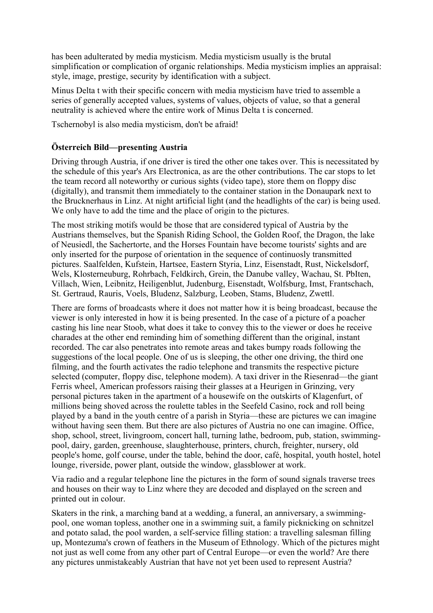has been adulterated by media mysticism. Media mysticism usually is the brutal simplification or complication of organic relationships. Media mysticism implies an appraisal: style, image, prestige, security by identification with a subject.

Minus Delta t with their specific concern with media mysticism have tried to assemble a series of generally accepted values, systems of values, objects of value, so that a general neutrality is achieved where the entire work of Minus Delta t is concerned.

Tschernobyl is also media mysticism, don't be afraid!

### **Österreich Bild—presenting Austria**

Driving through Austria, if one driver is tired the other one takes over. This is necessitated by the schedule of this year's Ars Electronica, as are the other contributions. The car stops to let the team record all noteworthy or curious sights (video tape), store them on floppy disc (digitally), and transmit them immediately to the container station in the Donaupark next to the Brucknerhaus in Linz. At night artificial light (and the headlights of the car) is being used. We only have to add the time and the place of origin to the pictures.

The most striking motifs would be those that are considered typical of Austria by the Austrians themselves, but the Spanish Riding School, the Golden Roof, the Dragon, the lake of Neusiedl, the Sachertorte, and the Horses Fountain have become tourists' sights and are only inserted for the purpose of orientation in the sequence of continuosly transmitted pictures. Saalfelden, Kufstein, Hartsee, Eastern Styria, Linz, Eisenstadt, Rust, Nickelsdorf, Wels, Klosterneuburg, Rohrbach, Feldkirch, Grein, the Danube valley, Wachau, St. PbIten, Villach, Wien, Leibnitz, Heiligenblut, Judenburg, Eisenstadt, Wolfsburg, Imst, Frantschach, St. Gertraud, Rauris, Voels, Bludenz, Salzburg, Leoben, Stams, Bludenz, Zwettl.

There are forms of broadcasts where it does not matter how it is being broadcast, because the viewer is only interested in how it is being presented. In the case of a picture of a poacher casting his line near Stoob, what does it take to convey this to the viewer or does he receive charades at the other end reminding him of something different than the original, instant recorded. The car also penetrates into remote areas and takes bumpy roads following the suggestions of the local people. One of us is sleeping, the other one driving, the third one filming, and the fourth activates the radio telephone and transmits the respective picture selected (computer, floppy disc, telephone modem). A taxi driver in the Riesenrad—the giant Ferris wheel, American professors raising their glasses at a Heurigen in Grinzing, very personal pictures taken in the apartment of a housewife on the outskirts of Klagenfurt, of millions being shoved across the roulette tables in the Seefeld Casino, rock and roll being played by a band in the youth centre of a parish in Styria—these are pictures we can imagine without having seen them. But there are also pictures of Austria no one can imagine. Office, shop, school, street, livingroom, concert hall, turning lathe, bedroom, pub, station, swimmingpool, dairy, garden, greenhouse, slaughterhouse, printers, church, freighter, nursery, old people's home, golf course, under the table, behind the door, café, hospital, youth hostel, hotel lounge, riverside, power plant, outside the window, glassblower at work.

Via radio and a regular telephone line the pictures in the form of sound signals traverse trees and houses on their way to Linz where they are decoded and displayed on the screen and printed out in colour.

Skaters in the rink, a marching band at a wedding, a funeral, an anniversary, a swimmingpool, one woman topless, another one in a swimming suit, a family picknicking on schnitzel and potato salad, the pool warden, a self-service filling station: a travelling salesman filling up, Montezuma's crown of feathers in the Museum of Ethnology. Which of the pictures might not just as well come from any other part of Central Europe—or even the world? Are there any pictures unmistakeably Austrian that have not yet been used to represent Austria?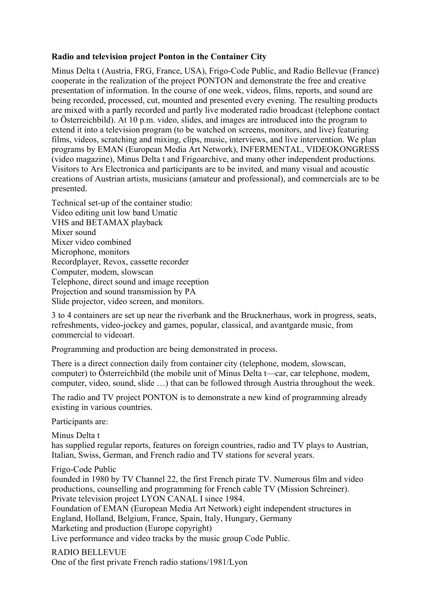#### **Radio and television project Ponton in the Container City**

Minus Delta t (Austria, FRG, France, USA), Frigo-Code Public, and Radio Bellevue (France) cooperate in the realization of the project PONTON and demonstrate the free and creative presentation of information. In the course of one week, videos, films, reports, and sound are being recorded, processed, cut, mounted and presented every evening. The resulting products are mixed with a partly recorded and partly live moderated radio broadcast (telephone contact to Österreichbild). At 10 p.m. video, slides, and images are introduced into the program to extend it into a television program (to be watched on screens, monitors, and live) featuring films, videos, scratching and mixing, clips, music, interviews, and live intervention. We plan programs by EMAN (European Media Art Network), INFERMENTAL, VIDEOKONGRESS (video magazine), Minus Delta t and Frigoarchive, and many other independent productions. Visitors to Ars Electronica and participants are to be invited, and many visual and acoustic creations of Austrian artists, musicians (amateur and professional), and commercials are to be presented.

Technical set-up of the container studio: Video editing unit low band Umatic VHS and BETAMAX playback Mixer sound Mixer video combined Microphone, monitors Recordplayer, Revox, cassette recorder Computer, modem, slowscan Telephone, direct sound and image reception Projection and sound transmission by PA Slide projector, video screen, and monitors.

3 to 4 containers are set up near the riverbank and the Brucknerhaus, work in progress, seats, refreshments, video-jockey and games, popular, classical, and avantgarde music, from commercial to videoart.

Programming and production are being demonstrated in process.

There is a direct connection daily from container city (telephone, modem, slowscan, computer) to Österreichbild (the mobile unit of Minus Delta t—car, car telephone, modem, computer, video, sound, slide …) that can be followed through Austria throughout the week.

The radio and TV project PONTON is to demonstrate a new kind of programming already existing in various countries.

Participants are:

Minus Delta t has supplied regular reports, features on foreign countries, radio and TV plays to Austrian, Italian, Swiss, German, and French radio and TV stations for several years.

Frigo-Code Public

founded in 1980 by TV Channel 22, the first French pirate TV. Numerous film and video productions, counselling and programming for French cable TV (Mission Schreiner). Private television project LYON CANAL I since 1984.

Foundation of EMAN (European Media Art Network) eight independent structures in England, Holland, Belgium, France, Spain, Italy, Hungary, Germany Marketing and production (Europe copyright)

Live performance and video tracks by the music group Code Public.

RADIO BELLEVUE One of the first private French radio stations/1981/Lyon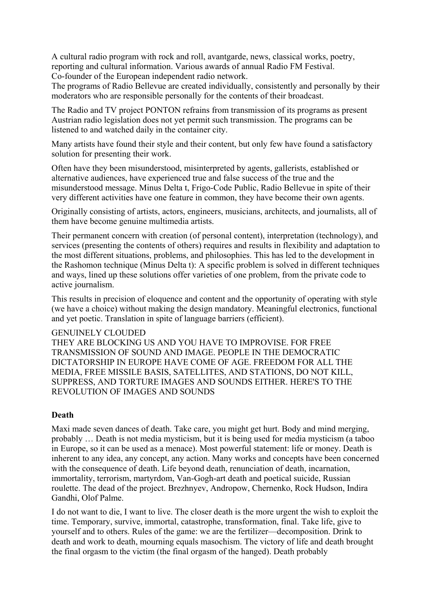A cultural radio program with rock and roll, avantgarde, news, classical works, poetry, reporting and cultural information. Various awards of annual Radio FM Festival. Co-founder of the European independent radio network.

The programs of Radio Bellevue are created individually, consistently and personally by their moderators who are responsible personally for the contents of their broadcast.

The Radio and TV project PONTON refrains from transmission of its programs as present Austrian radio legislation does not yet permit such transmission. The programs can be listened to and watched daily in the container city.

Many artists have found their style and their content, but only few have found a satisfactory solution for presenting their work.

Often have they been misunderstood, misinterpreted by agents, gallerists, established or alternative audiences, have experienced true and false success of the true and the misunderstood message. Minus Delta t, Frigo-Code Public, Radio Bellevue in spite of their very different activities have one feature in common, they have become their own agents.

Originally consisting of artists, actors, engineers, musicians, architects, and journalists, all of them have become genuine multimedia artists.

Their permanent concern with creation (of personal content), interpretation (technology), and services (presenting the contents of others) requires and results in flexibility and adaptation to the most different situations, problems, and philosophies. This has led to the development in the Rashomon technique (Minus Delta t): A specific problem is solved in different techniques and ways, lined up these solutions offer varieties of one problem, from the private code to active journalism.

This results in precision of eloquence and content and the opportunity of operating with style (we have a choice) without making the design mandatory. Meaningful electronics, functional and yet poetic. Translation in spite of language barriers (efficient).

#### GENUINELY CLOUDED

THEY ARE BLOCKING US AND YOU HAVE TO IMPROVISE. FOR FREE TRANSMISSION OF SOUND AND IMAGE. PEOPLE IN THE DEMOCRATIC DICTATORSHIP IN EUROPE HAVE COME OF AGE. FREEDOM FOR ALL THE MEDIA, FREE MISSILE BASIS, SATELLITES, AND STATIONS, DO NOT KILL, SUPPRESS, AND TORTURE IMAGES AND SOUNDS EITHER. HERE'S TO THE REVOLUTION OF IMAGES AND SOUNDS

#### **Death**

Maxi made seven dances of death. Take care, you might get hurt. Body and mind merging, probably … Death is not media mysticism, but it is being used for media mysticism (a taboo in Europe, so it can be used as a menace). Most powerful statement: life or money. Death is inherent to any idea, any concept, any action. Many works and concepts have been concerned with the consequence of death. Life beyond death, renunciation of death, incarnation, immortality, terrorism, martyrdom, Van-Gogh-art death and poetical suicide, Russian roulette. The dead of the project. Brezhnyev, Andropow, Chernenko, Rock Hudson, Indira Gandhi, Olof Palme.

I do not want to die, I want to live. The closer death is the more urgent the wish to exploit the time. Temporary, survive, immortal, catastrophe, transformation, final. Take life, give to yourself and to others. Rules of the game: we are the fertilizer—decomposition. Drink to death and work to death, mourning equals masochism. The victory of life and death brought the final orgasm to the victim (the final orgasm of the hanged). Death probably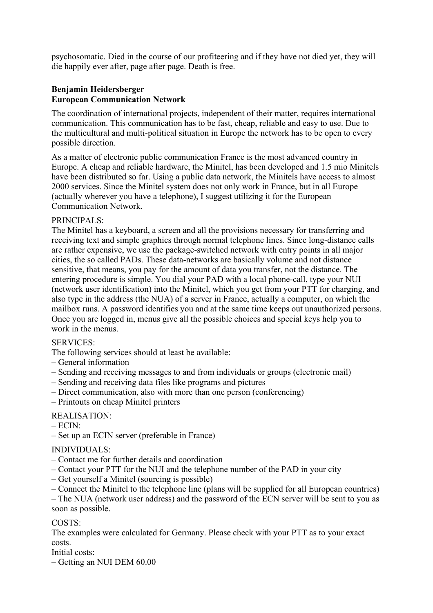psychosomatic. Died in the course of our profiteering and if they have not died yet, they will die happily ever after, page after page. Death is free.

### **Benjamin Heidersberger European Communication Network**

The coordination of international projects, independent of their matter, requires international communication. This communication has to be fast, cheap, reliable and easy to use. Due to the multicultural and multi-political situation in Europe the network has to be open to every possible direction.

As a matter of electronic public communication France is the most advanced country in Europe. A cheap and reliable hardware, the Minitel, has been developed and 1.5 mio Minitels have been distributed so far. Using a public data network, the Minitels have access to almost 2000 services. Since the Minitel system does not only work in France, but in all Europe (actually wherever you have a telephone), I suggest utilizing it for the European Communication Network.

### PRINCIPALS:

The Minitel has a keyboard, a screen and all the provisions necessary for transferring and receiving text and simple graphics through normal telephone lines. Since long-distance calls are rather expensive, we use the package-switched network with entry points in all major cities, the so called PADs. These data-networks are basically volume and not distance sensitive, that means, you pay for the amount of data you transfer, not the distance. The entering procedure is simple. You dial your PAD with a local phone-call, type your NUI (network user identification) into the Minitel, which you get from your PTT for charging, and also type in the address (the NUA) of a server in France, actually a computer, on which the mailbox runs. A password identifies you and at the same time keeps out unauthorized persons. Once you are logged in, menus give all the possible choices and special keys help you to work in the menus.

### SERVICES:

The following services should at least be available:

- General information
- Sending and receiving messages to and from individuals or groups (electronic mail)
- Sending and receiving data files like programs and pictures
- Direct communication, also with more than one person (conferencing)
- Printouts on cheap Minitel printers

### REALISATION:

- $-$  ECIN $\cdot$
- Set up an ECIN server (preferable in France)

#### INDIVIDUALS:

- Contact me for further details and coordination
- Contact your PTT for the NUI and the telephone number of the PAD in your city
- Get yourself a Minitel (sourcing is possible)
- Connect the Minitel to the telephone line (plans will be supplied for all European countries)

– The NUA (network user address) and the password of the ECN server will be sent to you as soon as possible.

### COSTS:

The examples were calculated for Germany. Please check with your PTT as to your exact costs.

Initial costs:

– Getting an NUI DEM 60.00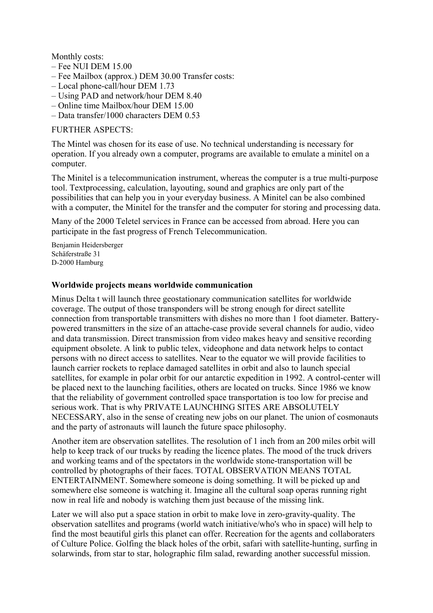Monthly costs:

- Fee NUI DEM 15.00
- Fee Mailbox (approx.) DEM 30.00 Transfer costs:
- Local phone-call/hour DEM 1.73
- Using PAD and network/hour DEM 8.40
- Online time Mailbox/hour DEM 15.00
- Data transfer/1000 characters DEM 0.53

#### FURTHER ASPECTS:

The Mintel was chosen for its ease of use. No technical understanding is necessary for operation. If you already own a computer, programs are available to emulate a minitel on a computer.

The Minitel is a telecommunication instrument, whereas the computer is a true multi-purpose tool. Textprocessing, calculation, layouting, sound and graphics are only part of the possibilities that can help you in your everyday business. A Minitel can be also combined with a computer, the Minitel for the transfer and the computer for storing and processing data.

Many of the 2000 Teletel services in France can be accessed from abroad. Here you can participate in the fast progress of French Telecommunication.

Benjamin Heidersberger Schäferstraße 31 D-2000 Hamburg

#### **Worldwide projects means worldwide communication**

Minus Delta t will launch three geostationary communication satellites for worldwide coverage. The output of those transponders will be strong enough for direct satellite connection from transportable transmitters with dishes no more than 1 foot diameter. Batterypowered transmitters in the size of an attache-case provide several channels for audio, video and data transmission. Direct transmission from video makes heavy and sensitive recording equipment obsolete. A link to public telex, videophone and data network helps to contact persons with no direct access to satellites. Near to the equator we will provide facilities to launch carrier rockets to replace damaged satellites in orbit and also to launch special satellites, for example in polar orbit for our antarctic expedition in 1992. A control-center will be placed next to the launching facilities, others are located on trucks. Since 1986 we know that the reliability of government controlled space transportation is too low for precise and serious work. That is why PRIVATE LAUNCHING SITES ARE ABSOLUTELY NECESSARY, also in the sense of creating new jobs on our planet. The union of cosmonauts and the party of astronauts will launch the future space philosophy.

Another item are observation satellites. The resolution of 1 inch from an 200 miles orbit will help to keep track of our trucks by reading the licence plates. The mood of the truck drivers and working teams and of the spectators in the worldwide stone-transportation will be controlled by photographs of their faces. TOTAL OBSERVATION MEANS TOTAL ENTERTAINMENT. Somewhere someone is doing something. It will be picked up and somewhere else someone is watching it. Imagine all the cultural soap operas running right now in real life and nobody is watching them just because of the missing link.

Later we will also put a space station in orbit to make love in zero-gravity-quality. The observation satellites and programs (world watch initiative/who's who in space) will help to find the most beautiful girls this planet can offer. Recreation for the agents and collaboraters of Culture Police. Golfing the black holes of the orbit, safari with satellite-hunting, surfing in solarwinds, from star to star, holographic film salad, rewarding another successful mission.